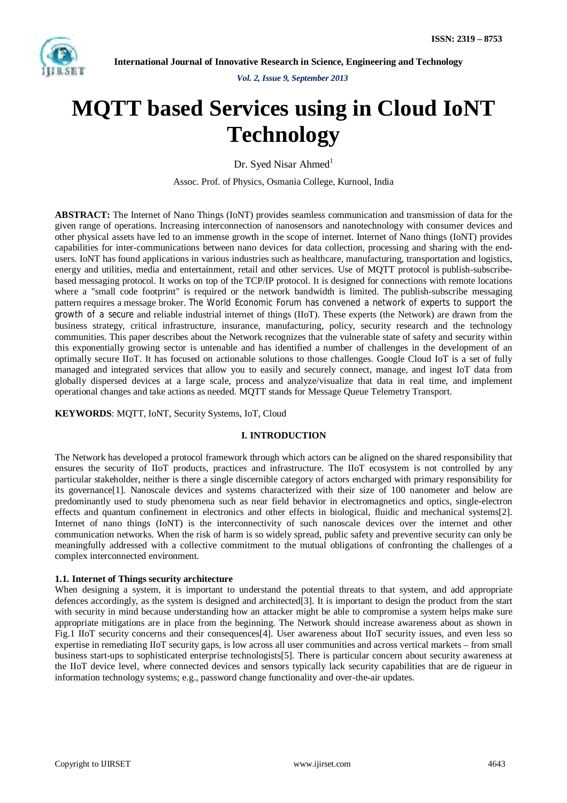

*Vol. 2, Issue 9, September 2013*

# **MQTT based Services using in Cloud IoNT Technology**

Dr. Syed Nisar Ahmed $<sup>1</sup>$ </sup>

Assoc. Prof. of Physics, Osmania College, Kurnool, India

**ABSTRACT:** The Internet of Nano Things (IoNT) provides seamless communication and transmission of data for the given range of operations. Increasing interconnection of nanosensors and nanotechnology with consumer devices and other physical assets have led to an immense growth in the scope of internet. Internet of Nano things (IoNT) provides capabilities for inter-communications between nano devices for data collection, processing and sharing with the endusers. IoNT has found applications in various industries such as healthcare, manufacturing, transportation and logistics, energy and utilities, media and entertainment, retail and other services. Use of MQTT protocol is publish-subscribebased messaging protocol. It works on top of the TCP/IP protocol. It is designed for connections with remote locations where a "small code footprint" is required or the network bandwidth is limited. The publish-subscribe messaging pattern requires a message broker. The World Economic Forum has convened a network of experts to support the growth of a secure and reliable industrial internet of things (IIoT). These experts (the Network) are drawn from the business strategy, critical infrastructure, insurance, manufacturing, policy, security research and the technology communities. This paper describes about the Network recognizes that the vulnerable state of safety and security within this exponentially growing sector is untenable and has identified a number of challenges in the development of an optimally secure IIoT. It has focused on actionable solutions to those challenges. Google Cloud IoT is a set of fully managed and integrated services that allow you to easily and securely connect, manage, and ingest IoT data from globally dispersed devices at a large scale, process and analyze/visualize that data in real time, and implement operational changes and take actions as needed. MQTT stands for Message Queue Telemetry Transport.

**KEYWORDS**: MQTT, IoNT, Security Systems, IoT, Cloud

## **I. INTRODUCTION**

The Network has developed a protocol framework through which actors can be aligned on the shared responsibility that ensures the security of IIoT products, practices and infrastructure. The IIoT ecosystem is not controlled by any particular stakeholder, neither is there a single discernible category of actors encharged with primary responsibility for its governance[1]. Nanoscale devices and systems characterized with their size of 100 nanometer and below are predominantly used to study phenomena such as near field behavior in electromagnetics and optics, single-electron effects and quantum confinement in electronics and other effects in biological, fluidic and mechanical systems[2]. Internet of nano things (IoNT) is the interconnectivity of such nanoscale devices over the internet and other communication networks. When the risk of harm is so widely spread, public safety and preventive security can only be meaningfully addressed with a collective commitment to the mutual obligations of confronting the challenges of a complex interconnected environment.

# **1.1. Internet of Things security architecture**

When designing a system, it is important to understand the potential threats to that system, and add appropriate defences accordingly, as the system is designed and architected[3]. It is important to design the product from the start with security in mind because understanding how an attacker might be able to compromise a system helps make sure appropriate mitigations are in place from the beginning. The Network should increase awareness about as shown in Fig.1 IIoT security concerns and their consequences[4]. User awareness about IIoT security issues, and even less so expertise in remediating IIoT security gaps, is low across all user communities and across vertical markets – from small business start-ups to sophisticated enterprise technologists[5]. There is particular concern about security awareness at the IIoT device level, where connected devices and sensors typically lack security capabilities that are de rigueur in information technology systems; e.g., password change functionality and over-the-air updates.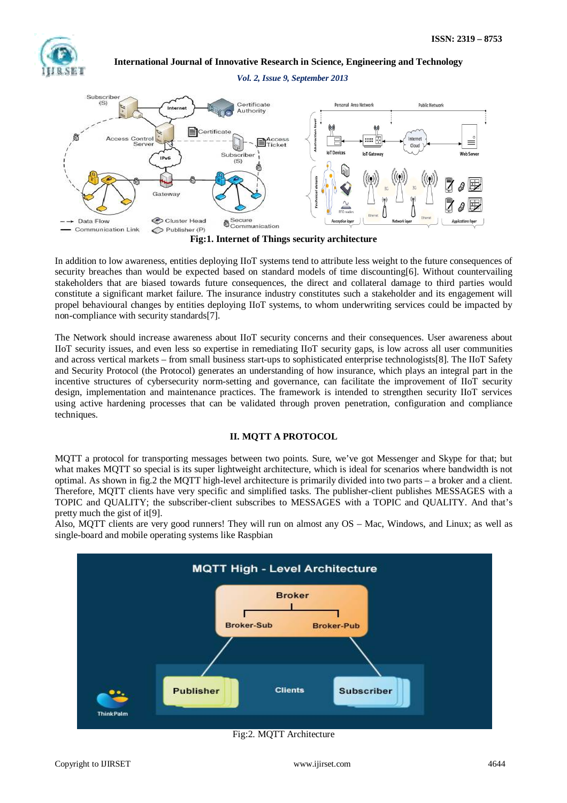

#### *Vol. 2, Issue 9, September 2013*



**Fig:1. Internet of Things security architecture**

In addition to low awareness, entities deploying IIoT systems tend to attribute less weight to the future consequences of security breaches than would be expected based on standard models of time discounting[6]. Without countervailing stakeholders that are biased towards future consequences, the direct and collateral damage to third parties would constitute a significant market failure. The insurance industry constitutes such a stakeholder and its engagement will propel behavioural changes by entities deploying IIoT systems, to whom underwriting services could be impacted by non-compliance with security standards[7].

The Network should increase awareness about IIoT security concerns and their consequences. User awareness about IIoT security issues, and even less so expertise in remediating IIoT security gaps, is low across all user communities and across vertical markets – from small business start-ups to sophisticated enterprise technologists[8]. The IIoT Safety and Security Protocol (the Protocol) generates an understanding of how insurance, which plays an integral part in the incentive structures of cybersecurity norm-setting and governance, can facilitate the improvement of IIoT security design, implementation and maintenance practices. The framework is intended to strengthen security IIoT services using active hardening processes that can be validated through proven penetration, configuration and compliance techniques.

## **II. MQTT A PROTOCOL**

MQTT a protocol for transporting messages between two points. Sure, we've got Messenger and Skype for that; but what makes MQTT so special is its super lightweight architecture, which is ideal for scenarios where bandwidth is not optimal. As shown in fig.2 the MQTT high-level architecture is primarily divided into two parts – a broker and a client. Therefore, MQTT clients have very specific and simplified tasks. The publisher-client publishes MESSAGES with a TOPIC and QUALITY; the subscriber-client subscribes to MESSAGES with a TOPIC and QUALITY. And that's pretty much the gist of it[9].

Also, MQTT clients are very good runners! They will run on almost any OS – Mac, Windows, and Linux; as well as single-board and mobile operating systems like Raspbian



Fig:2. MQTT Architecture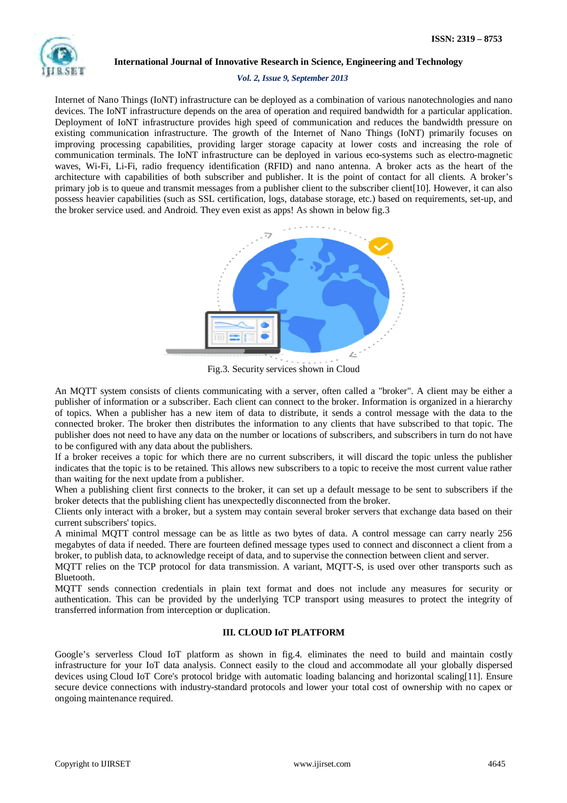

## *Vol. 2, Issue 9, September 2013*

Internet of Nano Things (IoNT) infrastructure can be deployed as a combination of various nanotechnologies and nano devices. The IoNT infrastructure depends on the area of operation and required bandwidth for a particular application. Deployment of IoNT infrastructure provides high speed of communication and reduces the bandwidth pressure on existing communication infrastructure. The growth of the Internet of Nano Things (IoNT) primarily focuses on improving processing capabilities, providing larger storage capacity at lower costs and increasing the role of communication terminals. The IoNT infrastructure can be deployed in various eco-systems such as electro-magnetic waves, Wi-Fi, Li-Fi, radio frequency identification (RFID) and nano antenna. A broker acts as the heart of the architecture with capabilities of both subscriber and publisher. It is the point of contact for all clients. A broker's primary job is to queue and transmit messages from a publisher client to the subscriber client [10]. However, it can also possess heavier capabilities (such as SSL certification, logs, database storage, etc.) based on requirements, set-up, and the broker service used. and Android. They even exist as apps! As shown in below fig.3



Fig.3. Security services shown in Cloud

An MQTT system consists of clients communicating with a server, often called a "broker". A client may be either a publisher of information or a subscriber. Each client can connect to the broker. Information is organized in a hierarchy of topics. When a publisher has a new item of data to distribute, it sends a control message with the data to the connected broker. The broker then distributes the information to any clients that have subscribed to that topic. The publisher does not need to have any data on the number or locations of subscribers, and subscribers in turn do not have to be configured with any data about the publishers.

If a broker receives a topic for which there are no current subscribers, it will discard the topic unless the publisher indicates that the topic is to be retained. This allows new subscribers to a topic to receive the most current value rather than waiting for the next update from a publisher.

When a publishing client first connects to the broker, it can set up a default message to be sent to subscribers if the broker detects that the publishing client has unexpectedly disconnected from the broker.

Clients only interact with a broker, but a system may contain several broker servers that exchange data based on their current subscribers' topics.

A minimal MQTT control message can be as little as two bytes of data. A control message can carry nearly 256 megabytes of data if needed. There are fourteen defined message types used to connect and disconnect a client from a broker, to publish data, to acknowledge receipt of data, and to supervise the connection between client and server.

MQTT relies on the TCP protocol for data transmission. A variant, MQTT-S, is used over other transports such as Bluetooth.

MQTT sends connection credentials in plain text format and does not include any measures for security or authentication. This can be provided by the underlying TCP transport using measures to protect the integrity of transferred information from interception or duplication.

# **III. CLOUD IoT PLATFORM**

Google's serverless Cloud IoT platform as shown in fig.4. eliminates the need to build and maintain costly infrastructure for your IoT data analysis. Connect easily to the cloud and accommodate all your globally dispersed devices using Cloud IoT Core's protocol bridge with automatic loading balancing and horizontal scaling[11]. Ensure secure device connections with industry-standard protocols and lower your total cost of ownership with no capex or ongoing maintenance required.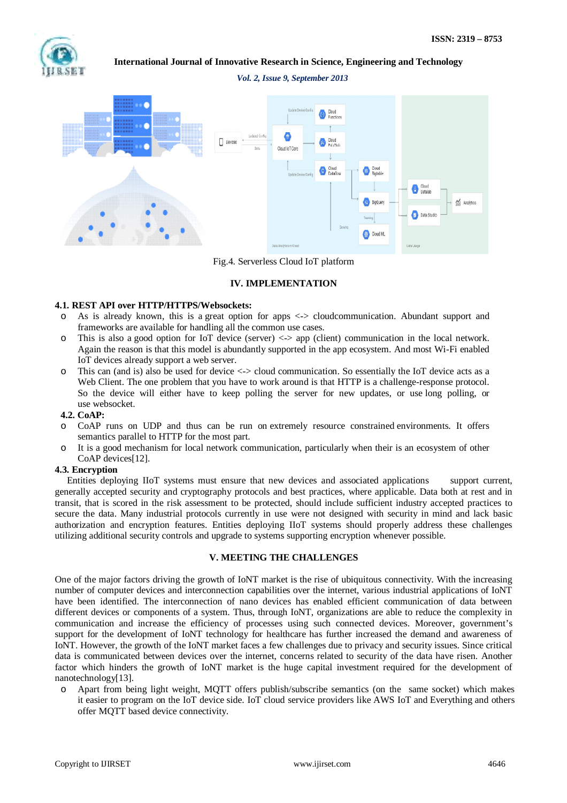

*Vol. 2, Issue 9, September 2013*



Fig.4. Serverless Cloud IoT platform

## **IV. IMPLEMENTATION**

## **4.1. REST API over HTTP/HTTPS/Websockets:**

- o As is already known, this is a great option for apps <-> cloudcommunication. Abundant support and frameworks are available for handling all the common use cases.
- o This is also a good option for IoT device (server) <-> app (client) communication in the local network. Again the reason is that this model is abundantly supported in the app ecosystem. And most Wi-Fi enabled IoT devices already support a web server.
- This can (and is) also be used for device  $\langle \cdot \rangle$  cloud communication. So essentially the IoT device acts as a Web Client. The one problem that you have to work around is that HTTP is a challenge-response protocol. So the device will either have to keep polling the server for new updates, or use long polling, or use websocket.

## **4.2. CoAP:**

- o CoAP runs on UDP and thus can be run on extremely resource constrained environments. It offers semantics parallel to HTTP for the most part.
- o It is a good mechanism for local network communication, particularly when their is an ecosystem of other CoAP devices[12].

## **4.3. Encryption**

 Entities deploying IIoT systems must ensure that new devices and associated applications support current, generally accepted security and cryptography protocols and best practices, where applicable. Data both at rest and in transit, that is scored in the risk assessment to be protected, should include sufficient industry accepted practices to secure the data. Many industrial protocols currently in use were not designed with security in mind and lack basic authorization and encryption features. Entities deploying IIoT systems should properly address these challenges utilizing additional security controls and upgrade to systems supporting encryption whenever possible.

## **V. MEETING THE CHALLENGES**

One of the major factors driving the growth of IoNT market is the rise of ubiquitous connectivity. With the increasing number of computer devices and interconnection capabilities over the internet, various industrial applications of IoNT have been identified. The interconnection of nano devices has enabled efficient communication of data between different devices or components of a system. Thus, through IoNT, organizations are able to reduce the complexity in communication and increase the efficiency of processes using such connected devices. Moreover, government's support for the development of IoNT technology for healthcare has further increased the demand and awareness of IoNT. However, the growth of the IoNT market faces a few challenges due to privacy and security issues. Since critical data is communicated between devices over the internet, concerns related to security of the data have risen. Another factor which hinders the growth of IoNT market is the huge capital investment required for the development of nanotechnology[13].

o Apart from being light weight, MQTT offers publish/subscribe semantics (on the same socket) which makes it easier to program on the IoT device side. IoT cloud service providers like AWS IoT and Everything and others offer MQTT based device connectivity.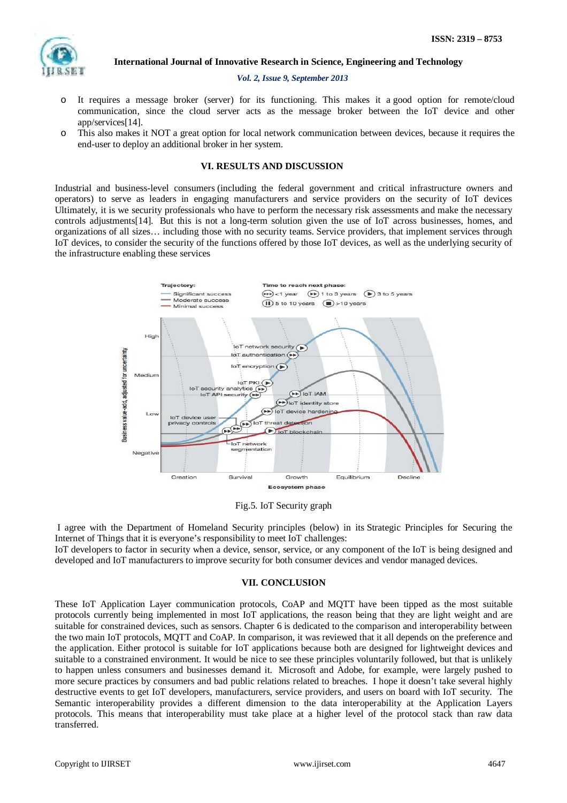

#### *Vol. 2, Issue 9, September 2013*

- o It requires a message broker (server) for its functioning. This makes it a good option for remote/cloud communication, since the cloud server acts as the message broker between the IoT device and other app/services[14].
- o This also makes it NOT a great option for local network communication between devices, because it requires the end-user to deploy an additional broker in her system.

## **VI. RESULTS AND DISCUSSION**

Industrial and business-level consumers (including the federal government and critical infrastructure owners and operators) to serve as leaders in engaging manufacturers and service providers on the security of IoT devices Ultimately, it is we security professionals who have to perform the necessary risk assessments and make the necessary controls adjustments[14]. But this is not a long-term solution given the use of IoT across businesses, homes, and organizations of all sizes… including those with no security teams. Service providers, that implement services through IoT devices, to consider the security of the functions offered by those IoT devices, as well as the underlying security of the infrastructure enabling these services



Fig.5. IoT Security graph

I agree with the Department of Homeland Security principles (below) in its Strategic Principles for Securing the Internet of Things that it is everyone's responsibility to meet IoT challenges:

IoT developers to factor in security when a device, sensor, service, or any component of the IoT is being designed and developed and IoT manufacturers to improve security for both consumer devices and vendor managed devices.

#### **VII. CONCLUSION**

These IoT Application Layer communication protocols, CoAP and MQTT have been tipped as the most suitable protocols currently being implemented in most IoT applications, the reason being that they are light weight and are suitable for constrained devices, such as sensors. Chapter 6 is dedicated to the comparison and interoperability between the two main IoT protocols, MQTT and CoAP. In comparison, it was reviewed that it all depends on the preference and the application. Either protocol is suitable for IoT applications because both are designed for lightweight devices and suitable to a constrained environment. It would be nice to see these principles voluntarily followed, but that is unlikely to happen unless consumers and businesses demand it. Microsoft and Adobe, for example, were largely pushed to more secure practices by consumers and bad public relations related to breaches. I hope it doesn't take several highly destructive events to get IoT developers, manufacturers, service providers, and users on board with IoT security. The Semantic interoperability provides a different dimension to the data interoperability at the Application Layers protocols. This means that interoperability must take place at a higher level of the protocol stack than raw data transferred.